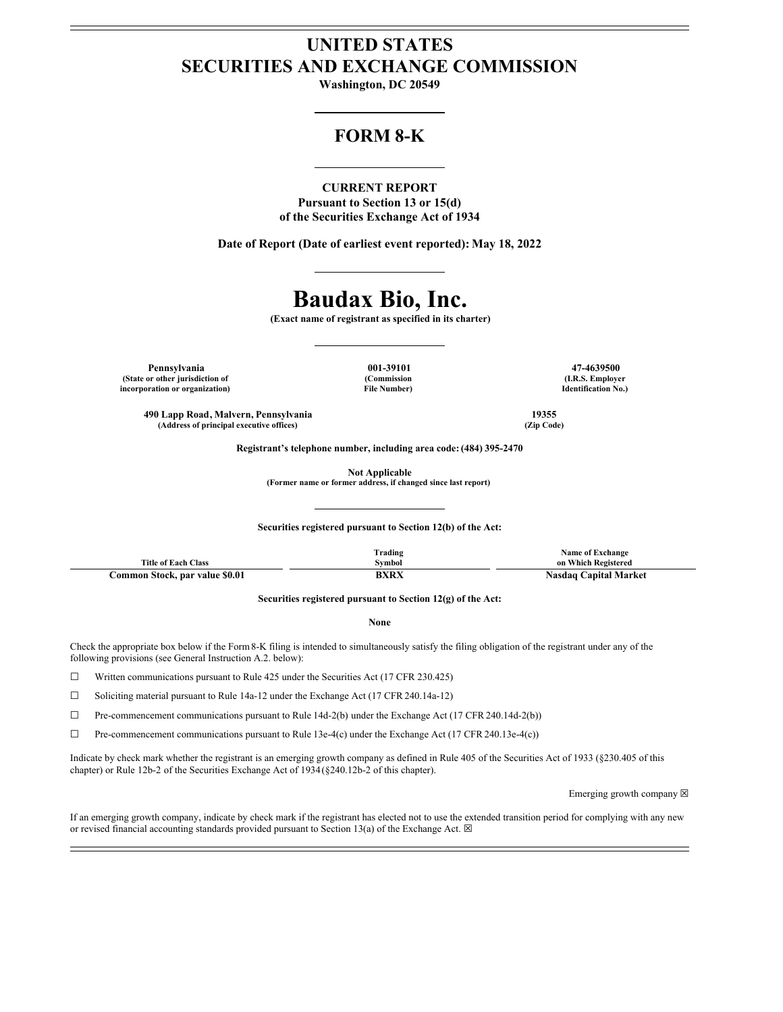## **UNITED STATES SECURITIES AND EXCHANGE COMMISSION**

**Washington, DC 20549**

### **FORM 8-K**

### **CURRENT REPORT**

**Pursuant to Section 13 or 15(d) of the Securities Exchange Act of 1934**

**Date of Report (Date of earliest event reported): May 18, 2022**

# **Baudax Bio, Inc.**

**(Exact name of registrant as specified in its charter)**

**Pennsylvania 001-39101 47-4639500 (State or other jurisdiction of incorporation or organization)**

**(Commission File Number)**

**(I.R.S. Employer Identification No.)**

**490 Lapp Road, Malvern, Pennsylvania 19355**  $(A$ ddress of principal executive offices)

**Registrant's telephone number, including area code: (484) 395-2470**

**Not Applicable**

**(Former name or former address, if changed since last report)**

**Securities registered pursuant to Section 12(b) of the Act:**

|                                | Trading     | Name of Exchange             |
|--------------------------------|-------------|------------------------------|
| <b>Title of Each Class</b>     | Svmbol      | on Which Registered          |
| Common Stock, par value \$0.01 | <b>BXRX</b> | <b>Nasdaq Capital Market</b> |

**Securities registered pursuant to Section 12(g) of the Act:**

#### **None**

Check the appropriate box below if the Form8-K filing is intended to simultaneously satisfy the filing obligation of the registrant under any of the following provisions (see General Instruction A.2. below):

☐ Written communications pursuant to Rule 425 under the Securities Act (17 CFR 230.425)

☐ Soliciting material pursuant to Rule 14a-12 under the Exchange Act (17 CFR 240.14a-12)

 $\Box$  Pre-commencement communications pursuant to Rule 14d-2(b) under the Exchange Act (17 CFR 240.14d-2(b))

 $\Box$  Pre-commencement communications pursuant to Rule 13e-4(c) under the Exchange Act (17 CFR 240.13e-4(c))

Indicate by check mark whether the registrant is an emerging growth company as defined in Rule 405 of the Securities Act of 1933 (§230.405 of this chapter) or Rule 12b-2 of the Securities Exchange Act of 1934(§240.12b-2 of this chapter).

Emerging growth company  $\boxtimes$ 

If an emerging growth company, indicate by check mark if the registrant has elected not to use the extended transition period for complying with any new or revised financial accounting standards provided pursuant to Section 13(a) of the Exchange Act.  $\boxtimes$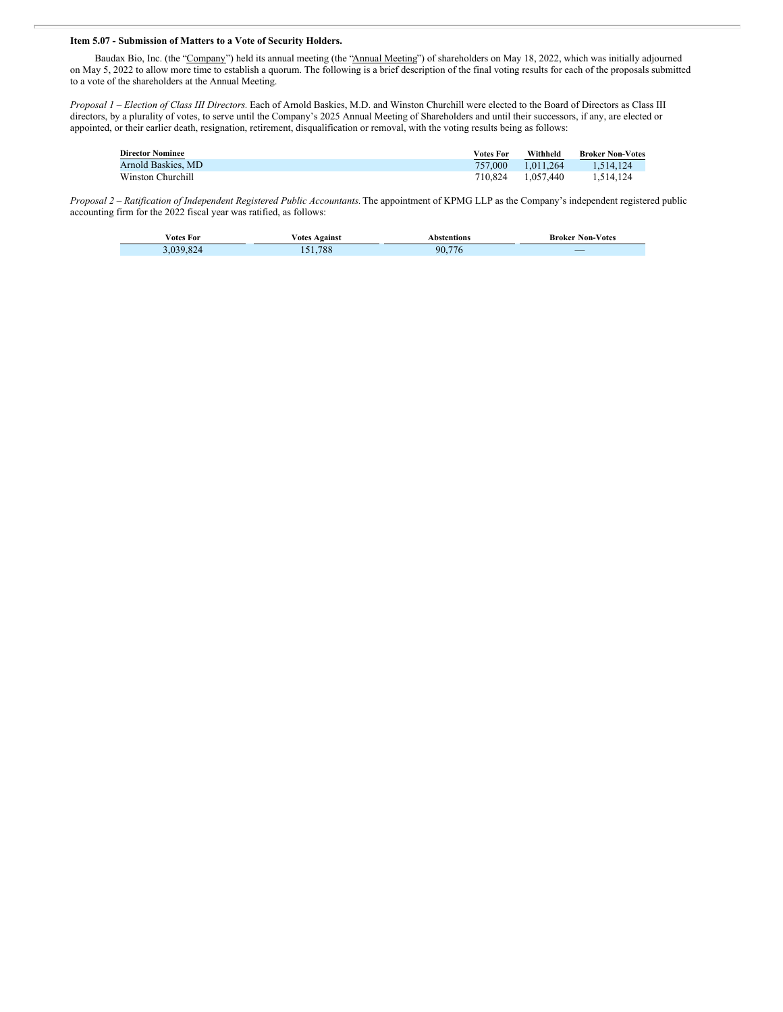### **Item 5.07 - Submission of Matters to a Vote of Security Holders.**

Baudax Bio, Inc. (the "Company") held its annual meeting (the "Annual Meeting") of shareholders on May 18, 2022, which was initially adjourned on May 5, 2022 to allow more time to establish a quorum. The following is a brief description of the final voting results for each of the proposals submitted to a vote of the shareholders at the Annual Meeting.

*Proposal 1 – Election of Class III Directors.* Each of Arnold Baskies, M.D. and Winston Churchill were elected to the Board of Directors as Class III directors, by a plurality of votes, to serve until the Company's 2025 Annual Meeting of Shareholders and until their successors, if any, are elected or appointed, or their earlier death, resignation, retirement, disqualification or removal, with the voting results being as follows:

| <b>Director Nominee</b> | Votes For | Withheld  | <b>Broker Non-Votes</b> |
|-------------------------|-----------|-----------|-------------------------|
| Arnold Baskies, MD      | 757.000   | 1.011.264 | 1.514.124               |
| Winston Churchill       | 710.824   | 1.057.440 | 1.514.124               |

*Proposal 2 – Ratification of Independent Registered Public Accountants.* The appointment of KPMG LLP as the Company's independent registered public accounting firm for the 2022 fiscal year was ratified, as follows:

| ∕otes For | ∕ote<br><b>\gainst</b> | Abstentions         | Non-Votes<br>Broker<br>the contract of the contract of the |
|-----------|------------------------|---------------------|------------------------------------------------------------|
|           | 700<br>788             | $- -$<br>90.<br>7 C |                                                            |